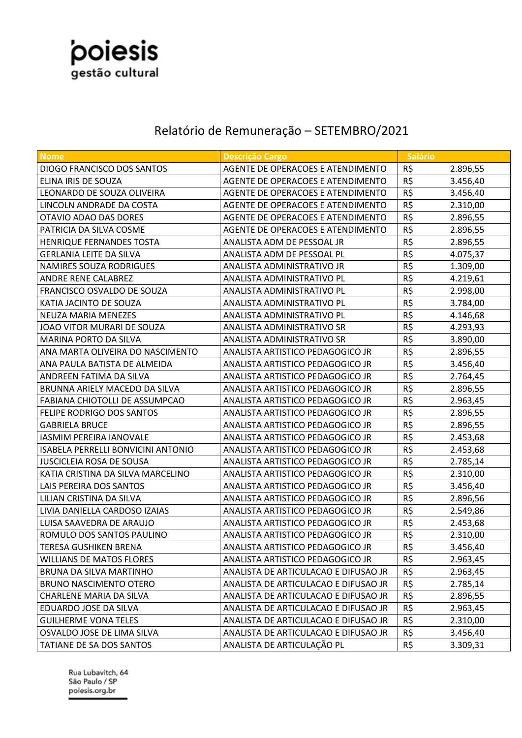

## Relatório de Remuneração – SETEMBRO/2021

| Nome                                      | <b>Descrição Cargo</b>               | <b>Salário</b> |          |
|-------------------------------------------|--------------------------------------|----------------|----------|
| <b>DIOGO FRANCISCO DOS SANTOS</b>         | AGENTE DE OPERACOES E ATENDIMENTO    | R\$            | 2.896,55 |
| ELINA IRIS DE SOUZA                       | AGENTE DE OPERACOES E ATENDIMENTO    | R\$            | 3.456,40 |
| LEONARDO DE SOUZA OLIVEIRA                | AGENTE DE OPERACOES E ATENDIMENTO    | R\$            | 3.456,40 |
| LINCOLN ANDRADE DA COSTA                  | AGENTE DE OPERACOES E ATENDIMENTO    | R\$            | 2.310,00 |
| OTAVIO ADAO DAS DORES                     | AGENTE DE OPERACOES E ATENDIMENTO    | R\$            | 2.896,55 |
| PATRICIA DA SILVA COSME                   | AGENTE DE OPERACOES E ATENDIMENTO    | R\$            | 2.896,55 |
| HENRIQUE FERNANDES TOSTA                  | ANALISTA ADM DE PESSOAL JR           | R\$            | 2.896,55 |
| <b>GERLANIA LEITE DA SILVA</b>            | ANALISTA ADM DE PESSOAL PL           | R\$            | 4.075,37 |
| <b>NAMIRES SOUZA RODRIGUES</b>            | ANALISTA ADMINISTRATIVO JR           | R\$            | 1.309,00 |
| <b>ANDRE RENE CALABREZ</b>                | ANALISTA ADMINISTRATIVO PL           | R\$            | 4.219,61 |
| FRANCISCO OSVALDO DE SOUZA                | ANALISTA ADMINISTRATIVO PL           | R\$            | 2.998,00 |
| KATIA JACINTO DE SOUZA                    | ANALISTA ADMINISTRATIVO PL           | R\$            | 3.784,00 |
| NEUZA MARIA MENEZES                       | ANALISTA ADMINISTRATIVO PL           | R\$            | 4.146,68 |
| JOAO VITOR MURARI DE SOUZA                | ANALISTA ADMINISTRATIVO SR           | R\$            | 4.293,93 |
| MARINA PORTO DA SILVA                     | ANALISTA ADMINISTRATIVO SR           | R\$            | 3.890,00 |
| ANA MARTA OLIVEIRA DO NASCIMENTO          | ANALISTA ARTISTICO PEDAGOGICO JR     | R\$            | 2.896,55 |
| ANA PAULA BATISTA DE ALMEIDA              | ANALISTA ARTISTICO PEDAGOGICO JR     | R\$            | 3.456,40 |
| ANDREEN FATIMA DA SILVA                   | ANALISTA ARTISTICO PEDAGOGICO JR     | R\$            | 2.764,45 |
| BRUNNA ARIELY MACEDO DA SILVA             | ANALISTA ARTISTICO PEDAGOGICO JR     | R\$            | 2.896,55 |
| FABIANA CHIOTOLLI DE ASSUMPCAO            | ANALISTA ARTISTICO PEDAGOGICO JR     | R\$            | 2.963,45 |
| FELIPE RODRIGO DOS SANTOS                 | ANALISTA ARTISTICO PEDAGOGICO JR     | R\$            | 2.896,55 |
| <b>GABRIELA BRUCE</b>                     | ANALISTA ARTISTICO PEDAGOGICO JR     | R\$            | 2.896,55 |
| <b>IASMIM PEREIRA IANOVALE</b>            | ANALISTA ARTISTICO PEDAGOGICO JR     | R\$            | 2.453,68 |
| <b>ISABELA PERRELLI BONVICINI ANTONIO</b> | ANALISTA ARTISTICO PEDAGOGICO JR     | R\$            | 2.453,68 |
| <b>JUSCICLEIA ROSA DE SOUSA</b>           | ANALISTA ARTISTICO PEDAGOGICO JR     | R\$            | 2.785,14 |
| KATIA CRISTINA DA SILVA MARCELINO         | ANALISTA ARTISTICO PEDAGOGICO JR     | R\$            | 2.310,00 |
| LAIS PEREIRA DOS SANTOS                   | ANALISTA ARTISTICO PEDAGOGICO JR     | R\$            | 3.456,40 |
| LILIAN CRISTINA DA SILVA                  | ANALISTA ARTISTICO PEDAGOGICO JR     | R\$            | 2.896,56 |
| LIVIA DANIELLA CARDOSO IZAIAS             | ANALISTA ARTISTICO PEDAGOGICO JR     | R\$            | 2.549,86 |
| LUISA SAAVEDRA DE ARAUJO                  | ANALISTA ARTISTICO PEDAGOGICO JR     | R\$            | 2.453,68 |
| ROMULO DOS SANTOS PAULINO                 | ANALISTA ARTISTICO PEDAGOGICO JR     | R\$            | 2.310,00 |
| TERESA GUSHIKEN BRENA                     | ANALISTA ARTISTICO PEDAGOGICO JR     | R\$            | 3.456,40 |
| WILLIANS DE MATOS FLORES                  | ANALISTA ARTISTICO PEDAGOGICO JR     | R\$            | 2.963,45 |
| BRUNA DA SILVA MARTINHO                   | ANALISTA DE ARTICULACAO E DIFUSAO JR | R\$            | 2.963,45 |
| <b>BRUNO NASCIMENTO OTERO</b>             | ANALISTA DE ARTICULACAO E DIFUSAO JR | R\$            | 2.785,14 |
| CHARLENE MARIA DA SILVA                   | ANALISTA DE ARTICULACAO E DIFUSAO JR | R\$            | 2.896,55 |
| EDUARDO JOSE DA SILVA                     | ANALISTA DE ARTICULACAO E DIFUSAO JR | R\$            | 2.963,45 |
| <b>GUILHERME VONA TELES</b>               | ANALISTA DE ARTICULACAO E DIFUSAO JR | R\$            | 2.310,00 |
| OSVALDO JOSE DE LIMA SILVA                | ANALISTA DE ARTICULACAO E DIFUSAO JR | R\$            | 3.456,40 |
| TATIANE DE SA DOS SANTOS                  | ANALISTA DE ARTICULAÇÃO PL           | R\$            | 3.309,31 |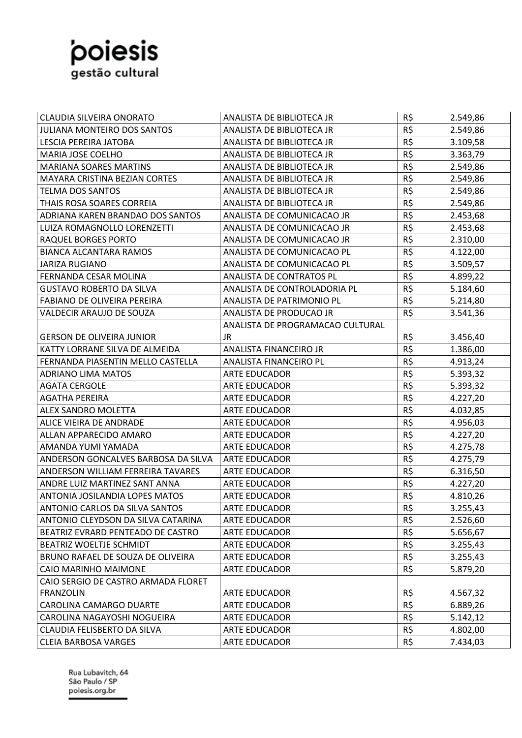

| CLAUDIA SILVEIRA ONORATO            | ANALISTA DE BIBLIOTECA JR        | R\$      | 2.549,86 |
|-------------------------------------|----------------------------------|----------|----------|
| <b>JULIANA MONTEIRO DOS SANTOS</b>  | ANALISTA DE BIBLIOTECA JR        | R\$      | 2.549,86 |
| LESCIA PEREIRA JATOBA               | ANALISTA DE BIBLIOTECA JR        | R\$      | 3.109,58 |
| MARIA JOSE COELHO                   | ANALISTA DE BIBLIOTECA JR        | R\$      | 3.363,79 |
| <b>MARIANA SOARES MARTINS</b>       | ANALISTA DE BIBLIOTECA JR        | R\$      | 2.549,86 |
| MAYARA CRISTINA BEZIAN CORTES       | ANALISTA DE BIBLIOTECA JR        | R\$      | 2.549,86 |
| <b>TELMA DOS SANTOS</b>             | ANALISTA DE BIBLIOTECA JR        | $R\zeta$ | 2.549,86 |
| THAIS ROSA SOARES CORREIA           | ANALISTA DE BIBLIOTECA JR        | R\$      | 2.549,86 |
| ADRIANA KAREN BRANDAO DOS SANTOS    | ANALISTA DE COMUNICACAO JR       | R\$      | 2.453,68 |
| LUIZA ROMAGNOLLO LORENZETTI         | ANALISTA DE COMUNICACAO JR       | R\$      | 2.453,68 |
| RAQUEL BORGES PORTO                 | ANALISTA DE COMUNICACAO JR       | R\$      | 2.310,00 |
| <b>BIANCA ALCANTARA RAMOS</b>       | ANALISTA DE COMUNICACAO PL       | R\$      | 4.122,00 |
| <b>JARIZA RUGIANO</b>               | ANALISTA DE COMUNICACAO PL       | R\$      | 3.509,57 |
| FERNANDA CESAR MOLINA               | ANALISTA DE CONTRATOS PL         | R\$      | 4.899,22 |
| <b>GUSTAVO ROBERTO DA SILVA</b>     | ANALISTA DE CONTROLADORIA PL     | R\$      | 5.184,60 |
| <b>FABIANO DE OLIVEIRA PEREIRA</b>  | ANALISTA DE PATRIMONIO PL        | R\$      | 5.214,80 |
| <b>VALDECIR ARAUJO DE SOUZA</b>     | ANALISTA DE PRODUCAO JR          | R\$      | 3.541,36 |
|                                     | ANALISTA DE PROGRAMACAO CULTURAL |          |          |
| <b>GERSON DE OLIVEIRA JUNIOR</b>    | JR.                              | R\$      | 3.456,40 |
| KATTY LORRANE SILVA DE ALMEIDA      | ANALISTA FINANCEIRO JR           | R\$      | 1.386,00 |
| FERNANDA PIASENTIN MELLO CASTELLA   | ANALISTA FINANCEIRO PL           | R\$      | 4.913,24 |
| <b>ADRIANO LIMA MATOS</b>           | <b>ARTE EDUCADOR</b>             | R\$      | 5.393,32 |
| <b>AGATA CERGOLE</b>                | <b>ARTE EDUCADOR</b>             | R\$      | 5.393,32 |
| <b>AGATHA PEREIRA</b>               | <b>ARTE EDUCADOR</b>             | R\$      | 4.227,20 |
| <b>ALEX SANDRO MOLETTA</b>          | <b>ARTE EDUCADOR</b>             | R\$      | 4.032,85 |
| ALICE VIEIRA DE ANDRADE             | <b>ARTE EDUCADOR</b>             | R\$      | 4.956,03 |
| ALLAN APPARECIDO AMARO              | <b>ARTE EDUCADOR</b>             | R\$      | 4.227,20 |
| AMANDA YUMI YAMADA                  | <b>ARTE EDUCADOR</b>             | R\$      | 4.275,78 |
| ANDERSON GONCALVES BARBOSA DA SILVA | ARTE EDUCADOR                    | R\$      | 4.275,79 |
| ANDERSON WILLIAM FERREIRA TAVARES   | <b>ARTE EDUCADOR</b>             | R\$      | 6.316,50 |
| ANDRE LUIZ MARTINEZ SANT ANNA       | <b>ARTE EDUCADOR</b>             | R\$      | 4.227,20 |
| ANTONIA JOSILANDIA LOPES MATOS      | <b>ARTE EDUCADOR</b>             | R\$      | 4.810,26 |
| ANTONIO CARLOS DA SILVA SANTOS      | <b>ARTE EDUCADOR</b>             | R\$      | 3.255,43 |
| ANTONIO CLEYDSON DA SILVA CATARINA  | <b>ARTE EDUCADOR</b>             | R\$      | 2.526,60 |
| BEATRIZ EVRARD PENTEADO DE CASTRO   | <b>ARTE EDUCADOR</b>             | $R\zeta$ | 5.656,67 |
| BEATRIZ WOELTJE SCHMIDT             | <b>ARTE EDUCADOR</b>             | R\$      | 3.255,43 |
| BRUNO RAFAEL DE SOUZA DE OLIVEIRA   | <b>ARTE EDUCADOR</b>             | R\$      | 3.255,43 |
| CAIO MARINHO MAIMONE                | <b>ARTE EDUCADOR</b>             | R\$      | 5.879,20 |
| CAIO SERGIO DE CASTRO ARMADA FLORET |                                  |          |          |
| <b>FRANZOLIN</b>                    | ARTE EDUCADOR                    | R\$      | 4.567,32 |
| CAROLINA CAMARGO DUARTE             | <b>ARTE EDUCADOR</b>             | R\$      | 6.889,26 |
| CAROLINA NAGAYOSHI NOGUEIRA         | <b>ARTE EDUCADOR</b>             | R\$      | 5.142,12 |
| CLAUDIA FELISBERTO DA SILVA         | <b>ARTE EDUCADOR</b>             | R\$      | 4.802,00 |
| <b>CLEIA BARBOSA VARGES</b>         | <b>ARTE EDUCADOR</b>             | R\$      | 7.434,03 |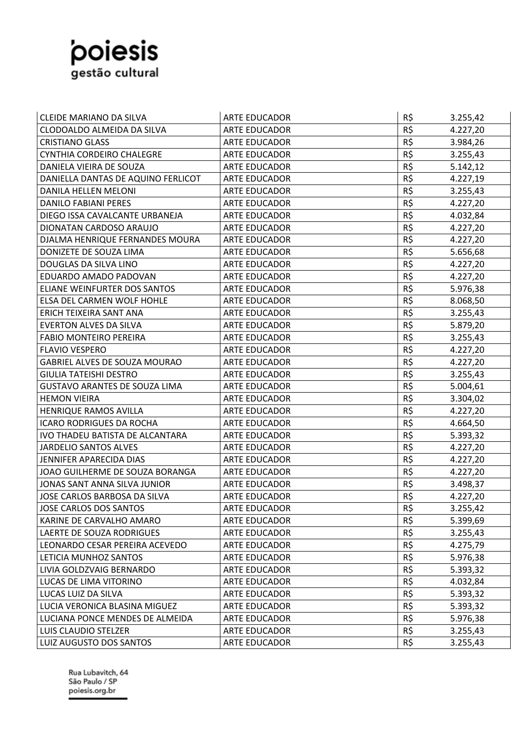

| <b>CLEIDE MARIANO DA SILVA</b>     | <b>ARTE EDUCADOR</b> | R\$ | 3.255,42 |
|------------------------------------|----------------------|-----|----------|
| CLODOALDO ALMEIDA DA SILVA         | <b>ARTE EDUCADOR</b> | R\$ | 4.227,20 |
| <b>CRISTIANO GLASS</b>             | <b>ARTE EDUCADOR</b> | R\$ | 3.984,26 |
| CYNTHIA CORDEIRO CHALEGRE          | <b>ARTE EDUCADOR</b> | R\$ | 3.255,43 |
| DANIELA VIEIRA DE SOUZA            | <b>ARTE EDUCADOR</b> | R\$ | 5.142,12 |
| DANIELLA DANTAS DE AQUINO FERLICOT | <b>ARTE EDUCADOR</b> | R\$ | 4.227,19 |
| DANILA HELLEN MELONI               | <b>ARTE EDUCADOR</b> | R\$ | 3.255,43 |
| <b>DANILO FABIANI PERES</b>        | <b>ARTE EDUCADOR</b> | R\$ | 4.227,20 |
| DIEGO ISSA CAVALCANTE URBANEJA     | <b>ARTE EDUCADOR</b> | R\$ | 4.032,84 |
| DIONATAN CARDOSO ARAUJO            | <b>ARTE EDUCADOR</b> | R\$ | 4.227,20 |
| DJALMA HENRIQUE FERNANDES MOURA    | <b>ARTE EDUCADOR</b> | R\$ | 4.227,20 |
| DONIZETE DE SOUZA LIMA             | <b>ARTE EDUCADOR</b> | R\$ | 5.656,68 |
| DOUGLAS DA SILVA LINO              | <b>ARTE EDUCADOR</b> | R\$ | 4.227,20 |
| EDUARDO AMADO PADOVAN              | <b>ARTE EDUCADOR</b> | R\$ | 4.227,20 |
| ELIANE WEINFURTER DOS SANTOS       | <b>ARTE EDUCADOR</b> | R\$ | 5.976,38 |
| ELSA DEL CARMEN WOLF HOHLE         | <b>ARTE EDUCADOR</b> | R\$ | 8.068,50 |
| ERICH TEIXEIRA SANT ANA            | <b>ARTE EDUCADOR</b> | R\$ | 3.255,43 |
| <b>EVERTON ALVES DA SILVA</b>      | <b>ARTE EDUCADOR</b> | R\$ | 5.879,20 |
| <b>FABIO MONTEIRO PEREIRA</b>      | <b>ARTE EDUCADOR</b> | R\$ | 3.255,43 |
| <b>FLAVIO VESPERO</b>              | <b>ARTE EDUCADOR</b> | R\$ | 4.227,20 |
| GABRIEL ALVES DE SOUZA MOURAO      | <b>ARTE EDUCADOR</b> | R\$ | 4.227,20 |
| <b>GIULIA TATEISHI DESTRO</b>      | <b>ARTE EDUCADOR</b> | R\$ | 3.255,43 |
| GUSTAVO ARANTES DE SOUZA LIMA      | <b>ARTE EDUCADOR</b> | R\$ | 5.004,61 |
| <b>HEMON VIEIRA</b>                | <b>ARTE EDUCADOR</b> | R\$ | 3.304,02 |
| HENRIQUE RAMOS AVILLA              | <b>ARTE EDUCADOR</b> | R\$ | 4.227,20 |
| <b>ICARO RODRIGUES DA ROCHA</b>    | <b>ARTE EDUCADOR</b> | R\$ | 4.664,50 |
| IVO THADEU BATISTA DE ALCANTARA    | <b>ARTE EDUCADOR</b> | R\$ | 5.393,32 |
| <b>JARDELIO SANTOS ALVES</b>       | <b>ARTE EDUCADOR</b> | R\$ | 4.227,20 |
| JENNIFER APARECIDA DIAS            | <b>ARTE EDUCADOR</b> | R\$ | 4.227,20 |
| JOAO GUILHERME DE SOUZA BORANGA    | ARTE EDUCADOR        | R\$ | 4.227,20 |
| JONAS SANT ANNA SILVA JUNIOR       | <b>ARTE EDUCADOR</b> | R\$ | 3.498,37 |
| JOSE CARLOS BARBOSA DA SILVA       | <b>ARTE EDUCADOR</b> | R\$ | 4.227,20 |
| <b>JOSE CARLOS DOS SANTOS</b>      | ARTE EDUCADOR        | R\$ | 3.255,42 |
| KARINE DE CARVALHO AMARO           | ARTE EDUCADOR        | R\$ | 5.399,69 |
| LAERTE DE SOUZA RODRIGUES          | ARTE EDUCADOR        | R\$ | 3.255,43 |
| LEONARDO CESAR PEREIRA ACEVEDO     | ARTE EDUCADOR        | R\$ | 4.275,79 |
| LETICIA MUNHOZ SANTOS              | ARTE EDUCADOR        | R\$ | 5.976,38 |
| LIVIA GOLDZVAIG BERNARDO           | ARTE EDUCADOR        | R\$ | 5.393,32 |
| LUCAS DE LIMA VITORINO             | ARTE EDUCADOR        | R\$ | 4.032,84 |
| LUCAS LUIZ DA SILVA                | <b>ARTE EDUCADOR</b> | R\$ | 5.393,32 |
| LUCIA VERONICA BLASINA MIGUEZ      | ARTE EDUCADOR        | R\$ | 5.393,32 |
| LUCIANA PONCE MENDES DE ALMEIDA    | ARTE EDUCADOR        | R\$ | 5.976,38 |
| LUIS CLAUDIO STELZER               | ARTE EDUCADOR        | R\$ | 3.255,43 |
| LUIZ AUGUSTO DOS SANTOS            | ARTE EDUCADOR        | R\$ | 3.255,43 |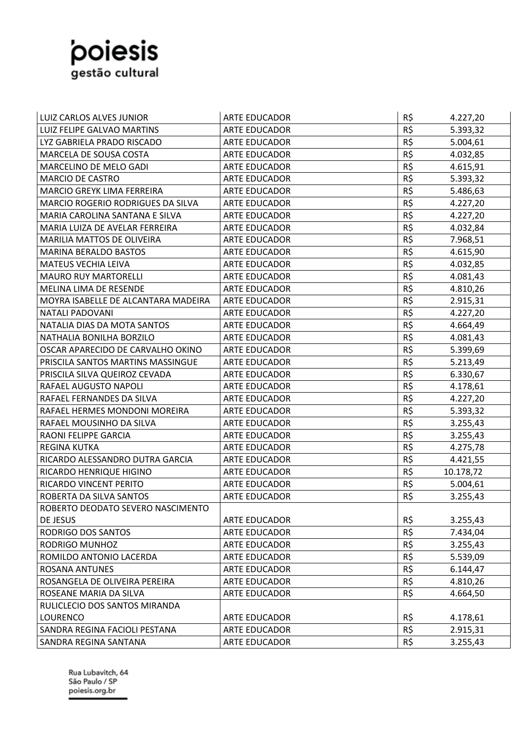

| LUIZ CARLOS ALVES JUNIOR            | <b>ARTE EDUCADOR</b> | R\$      | 4.227,20  |
|-------------------------------------|----------------------|----------|-----------|
| LUIZ FELIPE GALVAO MARTINS          | <b>ARTE EDUCADOR</b> | R\$      | 5.393,32  |
| LYZ GABRIELA PRADO RISCADO          | <b>ARTE EDUCADOR</b> | R\$      | 5.004,61  |
| MARCELA DE SOUSA COSTA              | <b>ARTE EDUCADOR</b> | $R\zeta$ | 4.032,85  |
| MARCELINO DE MELO GADI              | ARTE EDUCADOR        | R\$      | 4.615,91  |
| <b>MARCIO DE CASTRO</b>             | <b>ARTE EDUCADOR</b> | $R\zeta$ | 5.393,32  |
| MARCIO GREYK LIMA FERREIRA          | ARTE EDUCADOR        | R\$      | 5.486,63  |
| MARCIO ROGERIO RODRIGUES DA SILVA   | <b>ARTE EDUCADOR</b> | R\$      | 4.227,20  |
| MARIA CAROLINA SANTANA E SILVA      | <b>ARTE EDUCADOR</b> | R\$      | 4.227,20  |
| MARIA LUIZA DE AVELAR FERREIRA      | <b>ARTE EDUCADOR</b> | R\$      | 4.032,84  |
| MARILIA MATTOS DE OLIVEIRA          | <b>ARTE EDUCADOR</b> | R\$      | 7.968,51  |
| <b>MARINA BERALDO BASTOS</b>        | <b>ARTE EDUCADOR</b> | R\$      | 4.615,90  |
| <b>MATEUS VECHIA LEIVA</b>          | <b>ARTE EDUCADOR</b> | R\$      | 4.032,85  |
| <b>MAURO RUY MARTORELLI</b>         | <b>ARTE EDUCADOR</b> | R\$      | 4.081,43  |
| MELINA LIMA DE RESENDE              | ARTE EDUCADOR        | R\$      | 4.810,26  |
| MOYRA ISABELLE DE ALCANTARA MADEIRA | <b>ARTE EDUCADOR</b> | R\$      | 2.915,31  |
| NATALI PADOVANI                     | <b>ARTE EDUCADOR</b> | R\$      | 4.227,20  |
| NATALIA DIAS DA MOTA SANTOS         | <b>ARTE EDUCADOR</b> | R\$      | 4.664,49  |
| NATHALIA BONILHA BORZILO            | <b>ARTE EDUCADOR</b> | R\$      | 4.081,43  |
| OSCAR APARECIDO DE CARVALHO OKINO   | <b>ARTE EDUCADOR</b> | R\$      | 5.399,69  |
| PRISCILA SANTOS MARTINS MASSINGUE   | <b>ARTE EDUCADOR</b> | R\$      | 5.213,49  |
| PRISCILA SILVA QUEIROZ CEVADA       | <b>ARTE EDUCADOR</b> | R\$      | 6.330,67  |
| RAFAEL AUGUSTO NAPOLI               | <b>ARTE EDUCADOR</b> | R\$      | 4.178,61  |
| RAFAEL FERNANDES DA SILVA           | ARTE EDUCADOR        | R\$      | 4.227,20  |
| RAFAEL HERMES MONDONI MOREIRA       | <b>ARTE EDUCADOR</b> | R\$      | 5.393,32  |
| RAFAEL MOUSINHO DA SILVA            | <b>ARTE EDUCADOR</b> | R\$      | 3.255,43  |
| RAONI FELIPPE GARCIA                | <b>ARTE EDUCADOR</b> | R\$      | 3.255,43  |
| <b>REGINA KUTKA</b>                 | <b>ARTE EDUCADOR</b> | R\$      | 4.275,78  |
| RICARDO ALESSANDRO DUTRA GARCIA     | <b>ARTE EDUCADOR</b> | R\$      | 4.421,55  |
| RICARDO HENRIQUE HIGINO             | <b>ARTE EDUCADOR</b> | R\$      | 10.178,72 |
| RICARDO VINCENT PERITO              | <b>ARTE EDUCADOR</b> | R\$      | 5.004,61  |
| ROBERTA DA SILVA SANTOS             | <b>ARTE EDUCADOR</b> | R\$      | 3.255,43  |
| ROBERTO DEODATO SEVERO NASCIMENTO   |                      |          |           |
| DE JESUS                            | <b>ARTE EDUCADOR</b> | R\$      | 3.255,43  |
| RODRIGO DOS SANTOS                  | <b>ARTE EDUCADOR</b> | R\$      | 7.434,04  |
| RODRIGO MUNHOZ                      | ARTE EDUCADOR        | R\$      | 3.255,43  |
| ROMILDO ANTONIO LACERDA             | <b>ARTE EDUCADOR</b> | R\$      | 5.539,09  |
| ROSANA ANTUNES                      | ARTE EDUCADOR        | R\$      | 6.144,47  |
| ROSANGELA DE OLIVEIRA PEREIRA       | ARTE EDUCADOR        | R\$      | 4.810,26  |
| ROSEANE MARIA DA SILVA              | ARTE EDUCADOR        | R\$      | 4.664,50  |
| RULICLECIO DOS SANTOS MIRANDA       |                      |          |           |
| <b>LOURENCO</b>                     | <b>ARTE EDUCADOR</b> | R\$      | 4.178,61  |
| SANDRA REGINA FACIOLI PESTANA       | ARTE EDUCADOR        | R\$      | 2.915,31  |
| SANDRA REGINA SANTANA               | ARTE EDUCADOR        | R\$      | 3.255,43  |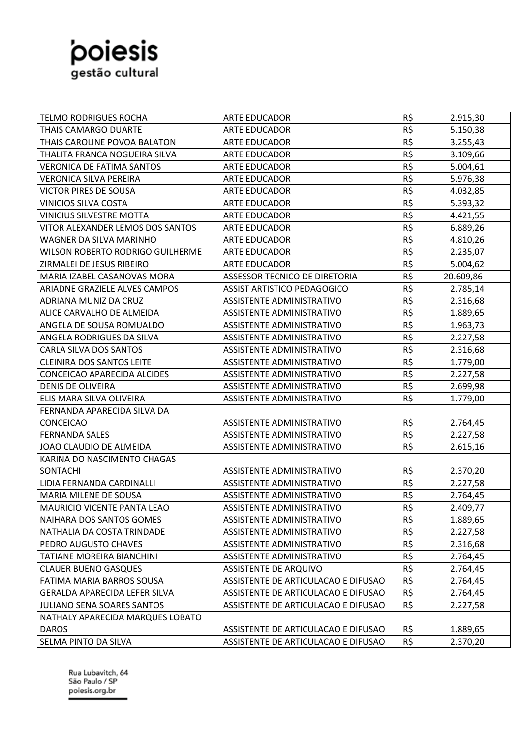

| R\$<br><b>TELMO RODRIGUES ROCHA</b><br><b>ARTE EDUCADOR</b><br>2.915,30<br>R\$<br>5.150,38<br>THAIS CAMARGO DUARTE<br><b>ARTE EDUCADOR</b><br>R\$<br>THAIS CAROLINE POVOA BALATON<br><b>ARTE EDUCADOR</b><br>3.255,43<br>R\$<br>THALITA FRANCA NOGUEIRA SILVA<br><b>ARTE EDUCADOR</b><br>3.109,66<br>R\$<br><b>VERONICA DE FATIMA SANTOS</b><br><b>ARTE EDUCADOR</b><br>5.004,61<br>R\$<br><b>VERONICA SILVA PEREIRA</b><br>5.976,38<br><b>ARTE EDUCADOR</b><br>R\$<br><b>VICTOR PIRES DE SOUSA</b><br><b>ARTE EDUCADOR</b><br>4.032,85<br>R\$<br><b>VINICIOS SILVA COSTA</b><br><b>ARTE EDUCADOR</b><br>5.393,32<br>R\$<br><b>VINICIUS SILVESTRE MOTTA</b><br><b>ARTE EDUCADOR</b><br>4.421,55<br>R\$<br>VITOR ALEXANDER LEMOS DOS SANTOS<br>ARTE EDUCADOR<br>6.889,26<br>R\$<br>WAGNER DA SILVA MARINHO<br><b>ARTE EDUCADOR</b><br>4.810,26<br>R\$<br>WILSON ROBERTO RODRIGO GUILHERME<br><b>ARTE EDUCADOR</b><br>2.235,07<br>R\$<br>ZIRMALEI DE JESUS RIBEIRO<br><b>ARTE EDUCADOR</b><br>5.004,62<br>R\$<br>ASSESSOR TECNICO DE DIRETORIA<br>20.609,86<br>MARIA IZABEL CASANOVAS MORA<br>R\$<br>ARIADNE GRAZIELE ALVES CAMPOS<br><b>ASSIST ARTISTICO PEDAGOGICO</b><br>2.785,14<br>R\$<br>ADRIANA MUNIZ DA CRUZ<br>ASSISTENTE ADMINISTRATIVO<br>2.316,68<br>R\$<br>ALICE CARVALHO DE ALMEIDA<br>ASSISTENTE ADMINISTRATIVO<br>1.889,65<br>R\$<br>ANGELA DE SOUSA ROMUALDO<br>ASSISTENTE ADMINISTRATIVO<br>1.963,73<br>R\$<br>ANGELA RODRIGUES DA SILVA<br>ASSISTENTE ADMINISTRATIVO<br>2.227,58<br>R\$<br><b>CARLA SILVA DOS SANTOS</b><br>ASSISTENTE ADMINISTRATIVO<br>2.316,68<br>R\$<br><b>CLEINIRA DOS SANTOS LEITE</b><br>ASSISTENTE ADMINISTRATIVO<br>1.779,00<br>R\$<br>CONCEICAO APARECIDA ALCIDES<br>ASSISTENTE ADMINISTRATIVO<br>2.227,58<br>R\$<br><b>DENIS DE OLIVEIRA</b><br>ASSISTENTE ADMINISTRATIVO<br>2.699,98<br>R\$<br>ELIS MARA SILVA OLIVEIRA<br>1.779,00<br>ASSISTENTE ADMINISTRATIVO |
|---------------------------------------------------------------------------------------------------------------------------------------------------------------------------------------------------------------------------------------------------------------------------------------------------------------------------------------------------------------------------------------------------------------------------------------------------------------------------------------------------------------------------------------------------------------------------------------------------------------------------------------------------------------------------------------------------------------------------------------------------------------------------------------------------------------------------------------------------------------------------------------------------------------------------------------------------------------------------------------------------------------------------------------------------------------------------------------------------------------------------------------------------------------------------------------------------------------------------------------------------------------------------------------------------------------------------------------------------------------------------------------------------------------------------------------------------------------------------------------------------------------------------------------------------------------------------------------------------------------------------------------------------------------------------------------------------------------------------------------------------------------------------------------------------------------------------------------------------------------------------------------------------------------|
|                                                                                                                                                                                                                                                                                                                                                                                                                                                                                                                                                                                                                                                                                                                                                                                                                                                                                                                                                                                                                                                                                                                                                                                                                                                                                                                                                                                                                                                                                                                                                                                                                                                                                                                                                                                                                                                                                                               |
|                                                                                                                                                                                                                                                                                                                                                                                                                                                                                                                                                                                                                                                                                                                                                                                                                                                                                                                                                                                                                                                                                                                                                                                                                                                                                                                                                                                                                                                                                                                                                                                                                                                                                                                                                                                                                                                                                                               |
|                                                                                                                                                                                                                                                                                                                                                                                                                                                                                                                                                                                                                                                                                                                                                                                                                                                                                                                                                                                                                                                                                                                                                                                                                                                                                                                                                                                                                                                                                                                                                                                                                                                                                                                                                                                                                                                                                                               |
|                                                                                                                                                                                                                                                                                                                                                                                                                                                                                                                                                                                                                                                                                                                                                                                                                                                                                                                                                                                                                                                                                                                                                                                                                                                                                                                                                                                                                                                                                                                                                                                                                                                                                                                                                                                                                                                                                                               |
|                                                                                                                                                                                                                                                                                                                                                                                                                                                                                                                                                                                                                                                                                                                                                                                                                                                                                                                                                                                                                                                                                                                                                                                                                                                                                                                                                                                                                                                                                                                                                                                                                                                                                                                                                                                                                                                                                                               |
|                                                                                                                                                                                                                                                                                                                                                                                                                                                                                                                                                                                                                                                                                                                                                                                                                                                                                                                                                                                                                                                                                                                                                                                                                                                                                                                                                                                                                                                                                                                                                                                                                                                                                                                                                                                                                                                                                                               |
|                                                                                                                                                                                                                                                                                                                                                                                                                                                                                                                                                                                                                                                                                                                                                                                                                                                                                                                                                                                                                                                                                                                                                                                                                                                                                                                                                                                                                                                                                                                                                                                                                                                                                                                                                                                                                                                                                                               |
|                                                                                                                                                                                                                                                                                                                                                                                                                                                                                                                                                                                                                                                                                                                                                                                                                                                                                                                                                                                                                                                                                                                                                                                                                                                                                                                                                                                                                                                                                                                                                                                                                                                                                                                                                                                                                                                                                                               |
|                                                                                                                                                                                                                                                                                                                                                                                                                                                                                                                                                                                                                                                                                                                                                                                                                                                                                                                                                                                                                                                                                                                                                                                                                                                                                                                                                                                                                                                                                                                                                                                                                                                                                                                                                                                                                                                                                                               |
|                                                                                                                                                                                                                                                                                                                                                                                                                                                                                                                                                                                                                                                                                                                                                                                                                                                                                                                                                                                                                                                                                                                                                                                                                                                                                                                                                                                                                                                                                                                                                                                                                                                                                                                                                                                                                                                                                                               |
|                                                                                                                                                                                                                                                                                                                                                                                                                                                                                                                                                                                                                                                                                                                                                                                                                                                                                                                                                                                                                                                                                                                                                                                                                                                                                                                                                                                                                                                                                                                                                                                                                                                                                                                                                                                                                                                                                                               |
|                                                                                                                                                                                                                                                                                                                                                                                                                                                                                                                                                                                                                                                                                                                                                                                                                                                                                                                                                                                                                                                                                                                                                                                                                                                                                                                                                                                                                                                                                                                                                                                                                                                                                                                                                                                                                                                                                                               |
|                                                                                                                                                                                                                                                                                                                                                                                                                                                                                                                                                                                                                                                                                                                                                                                                                                                                                                                                                                                                                                                                                                                                                                                                                                                                                                                                                                                                                                                                                                                                                                                                                                                                                                                                                                                                                                                                                                               |
|                                                                                                                                                                                                                                                                                                                                                                                                                                                                                                                                                                                                                                                                                                                                                                                                                                                                                                                                                                                                                                                                                                                                                                                                                                                                                                                                                                                                                                                                                                                                                                                                                                                                                                                                                                                                                                                                                                               |
|                                                                                                                                                                                                                                                                                                                                                                                                                                                                                                                                                                                                                                                                                                                                                                                                                                                                                                                                                                                                                                                                                                                                                                                                                                                                                                                                                                                                                                                                                                                                                                                                                                                                                                                                                                                                                                                                                                               |
|                                                                                                                                                                                                                                                                                                                                                                                                                                                                                                                                                                                                                                                                                                                                                                                                                                                                                                                                                                                                                                                                                                                                                                                                                                                                                                                                                                                                                                                                                                                                                                                                                                                                                                                                                                                                                                                                                                               |
|                                                                                                                                                                                                                                                                                                                                                                                                                                                                                                                                                                                                                                                                                                                                                                                                                                                                                                                                                                                                                                                                                                                                                                                                                                                                                                                                                                                                                                                                                                                                                                                                                                                                                                                                                                                                                                                                                                               |
|                                                                                                                                                                                                                                                                                                                                                                                                                                                                                                                                                                                                                                                                                                                                                                                                                                                                                                                                                                                                                                                                                                                                                                                                                                                                                                                                                                                                                                                                                                                                                                                                                                                                                                                                                                                                                                                                                                               |
|                                                                                                                                                                                                                                                                                                                                                                                                                                                                                                                                                                                                                                                                                                                                                                                                                                                                                                                                                                                                                                                                                                                                                                                                                                                                                                                                                                                                                                                                                                                                                                                                                                                                                                                                                                                                                                                                                                               |
|                                                                                                                                                                                                                                                                                                                                                                                                                                                                                                                                                                                                                                                                                                                                                                                                                                                                                                                                                                                                                                                                                                                                                                                                                                                                                                                                                                                                                                                                                                                                                                                                                                                                                                                                                                                                                                                                                                               |
|                                                                                                                                                                                                                                                                                                                                                                                                                                                                                                                                                                                                                                                                                                                                                                                                                                                                                                                                                                                                                                                                                                                                                                                                                                                                                                                                                                                                                                                                                                                                                                                                                                                                                                                                                                                                                                                                                                               |
|                                                                                                                                                                                                                                                                                                                                                                                                                                                                                                                                                                                                                                                                                                                                                                                                                                                                                                                                                                                                                                                                                                                                                                                                                                                                                                                                                                                                                                                                                                                                                                                                                                                                                                                                                                                                                                                                                                               |
|                                                                                                                                                                                                                                                                                                                                                                                                                                                                                                                                                                                                                                                                                                                                                                                                                                                                                                                                                                                                                                                                                                                                                                                                                                                                                                                                                                                                                                                                                                                                                                                                                                                                                                                                                                                                                                                                                                               |
| FERNANDA APARECIDA SILVA DA                                                                                                                                                                                                                                                                                                                                                                                                                                                                                                                                                                                                                                                                                                                                                                                                                                                                                                                                                                                                                                                                                                                                                                                                                                                                                                                                                                                                                                                                                                                                                                                                                                                                                                                                                                                                                                                                                   |
| R\$<br><b>CONCEICAO</b><br>ASSISTENTE ADMINISTRATIVO<br>2.764,45                                                                                                                                                                                                                                                                                                                                                                                                                                                                                                                                                                                                                                                                                                                                                                                                                                                                                                                                                                                                                                                                                                                                                                                                                                                                                                                                                                                                                                                                                                                                                                                                                                                                                                                                                                                                                                              |
| R\$<br>2.227,58<br><b>FERNANDA SALES</b><br>ASSISTENTE ADMINISTRATIVO                                                                                                                                                                                                                                                                                                                                                                                                                                                                                                                                                                                                                                                                                                                                                                                                                                                                                                                                                                                                                                                                                                                                                                                                                                                                                                                                                                                                                                                                                                                                                                                                                                                                                                                                                                                                                                         |
| R\$<br>JOAO CLAUDIO DE ALMEIDA<br>ASSISTENTE ADMINISTRATIVO<br>2.615,16                                                                                                                                                                                                                                                                                                                                                                                                                                                                                                                                                                                                                                                                                                                                                                                                                                                                                                                                                                                                                                                                                                                                                                                                                                                                                                                                                                                                                                                                                                                                                                                                                                                                                                                                                                                                                                       |
| KARINA DO NASCIMENTO CHAGAS                                                                                                                                                                                                                                                                                                                                                                                                                                                                                                                                                                                                                                                                                                                                                                                                                                                                                                                                                                                                                                                                                                                                                                                                                                                                                                                                                                                                                                                                                                                                                                                                                                                                                                                                                                                                                                                                                   |
| R\$<br>SONTACHI<br>ASSISTENTE ADMINISTRATIVO<br>2.370,20                                                                                                                                                                                                                                                                                                                                                                                                                                                                                                                                                                                                                                                                                                                                                                                                                                                                                                                                                                                                                                                                                                                                                                                                                                                                                                                                                                                                                                                                                                                                                                                                                                                                                                                                                                                                                                                      |
| R\$<br>LIDIA FERNANDA CARDINALLI<br>ASSISTENTE ADMINISTRATIVO<br>2.227,58                                                                                                                                                                                                                                                                                                                                                                                                                                                                                                                                                                                                                                                                                                                                                                                                                                                                                                                                                                                                                                                                                                                                                                                                                                                                                                                                                                                                                                                                                                                                                                                                                                                                                                                                                                                                                                     |
| R\$<br>MARIA MILENE DE SOUSA<br>ASSISTENTE ADMINISTRATIVO<br>2.764,45                                                                                                                                                                                                                                                                                                                                                                                                                                                                                                                                                                                                                                                                                                                                                                                                                                                                                                                                                                                                                                                                                                                                                                                                                                                                                                                                                                                                                                                                                                                                                                                                                                                                                                                                                                                                                                         |
| R\$<br>2.409,77<br><b>MAURICIO VICENTE PANTA LEAO</b><br>ASSISTENTE ADMINISTRATIVO                                                                                                                                                                                                                                                                                                                                                                                                                                                                                                                                                                                                                                                                                                                                                                                                                                                                                                                                                                                                                                                                                                                                                                                                                                                                                                                                                                                                                                                                                                                                                                                                                                                                                                                                                                                                                            |
| R\$<br>NAIHARA DOS SANTOS GOMES<br>ASSISTENTE ADMINISTRATIVO<br>1.889,65                                                                                                                                                                                                                                                                                                                                                                                                                                                                                                                                                                                                                                                                                                                                                                                                                                                                                                                                                                                                                                                                                                                                                                                                                                                                                                                                                                                                                                                                                                                                                                                                                                                                                                                                                                                                                                      |
| R\$<br>NATHALIA DA COSTA TRINDADE<br>2.227,58<br>ASSISTENTE ADMINISTRATIVO                                                                                                                                                                                                                                                                                                                                                                                                                                                                                                                                                                                                                                                                                                                                                                                                                                                                                                                                                                                                                                                                                                                                                                                                                                                                                                                                                                                                                                                                                                                                                                                                                                                                                                                                                                                                                                    |
| R\$<br>2.316,68<br>PEDRO AUGUSTO CHAVES<br>ASSISTENTE ADMINISTRATIVO                                                                                                                                                                                                                                                                                                                                                                                                                                                                                                                                                                                                                                                                                                                                                                                                                                                                                                                                                                                                                                                                                                                                                                                                                                                                                                                                                                                                                                                                                                                                                                                                                                                                                                                                                                                                                                          |
| R\$<br>TATIANE MOREIRA BIANCHINI<br>ASSISTENTE ADMINISTRATIVO<br>2.764,45                                                                                                                                                                                                                                                                                                                                                                                                                                                                                                                                                                                                                                                                                                                                                                                                                                                                                                                                                                                                                                                                                                                                                                                                                                                                                                                                                                                                                                                                                                                                                                                                                                                                                                                                                                                                                                     |
| R\$<br><b>CLAUER BUENO GASQUES</b><br>2.764,45<br><b>ASSISTENTE DE ARQUIVO</b>                                                                                                                                                                                                                                                                                                                                                                                                                                                                                                                                                                                                                                                                                                                                                                                                                                                                                                                                                                                                                                                                                                                                                                                                                                                                                                                                                                                                                                                                                                                                                                                                                                                                                                                                                                                                                                |
| R\$<br>2.764,45<br><b>FATIMA MARIA BARROS SOUSA</b><br>ASSISTENTE DE ARTICULACAO E DIFUSAO                                                                                                                                                                                                                                                                                                                                                                                                                                                                                                                                                                                                                                                                                                                                                                                                                                                                                                                                                                                                                                                                                                                                                                                                                                                                                                                                                                                                                                                                                                                                                                                                                                                                                                                                                                                                                    |
| R\$<br><b>GERALDA APARECIDA LEFER SILVA</b><br>ASSISTENTE DE ARTICULACAO E DIFUSAO<br>2.764,45                                                                                                                                                                                                                                                                                                                                                                                                                                                                                                                                                                                                                                                                                                                                                                                                                                                                                                                                                                                                                                                                                                                                                                                                                                                                                                                                                                                                                                                                                                                                                                                                                                                                                                                                                                                                                |
| R\$<br>ASSISTENTE DE ARTICULACAO E DIFUSAO<br><b>JULIANO SENA SOARES SANTOS</b><br>2.227,58                                                                                                                                                                                                                                                                                                                                                                                                                                                                                                                                                                                                                                                                                                                                                                                                                                                                                                                                                                                                                                                                                                                                                                                                                                                                                                                                                                                                                                                                                                                                                                                                                                                                                                                                                                                                                   |
| NATHALY APARECIDA MARQUES LOBATO                                                                                                                                                                                                                                                                                                                                                                                                                                                                                                                                                                                                                                                                                                                                                                                                                                                                                                                                                                                                                                                                                                                                                                                                                                                                                                                                                                                                                                                                                                                                                                                                                                                                                                                                                                                                                                                                              |
| R\$<br><b>DAROS</b><br>ASSISTENTE DE ARTICULACAO E DIFUSAO<br>1.889,65                                                                                                                                                                                                                                                                                                                                                                                                                                                                                                                                                                                                                                                                                                                                                                                                                                                                                                                                                                                                                                                                                                                                                                                                                                                                                                                                                                                                                                                                                                                                                                                                                                                                                                                                                                                                                                        |
| R\$<br>SELMA PINTO DA SILVA<br>ASSISTENTE DE ARTICULACAO E DIFUSAO<br>2.370,20                                                                                                                                                                                                                                                                                                                                                                                                                                                                                                                                                                                                                                                                                                                                                                                                                                                                                                                                                                                                                                                                                                                                                                                                                                                                                                                                                                                                                                                                                                                                                                                                                                                                                                                                                                                                                                |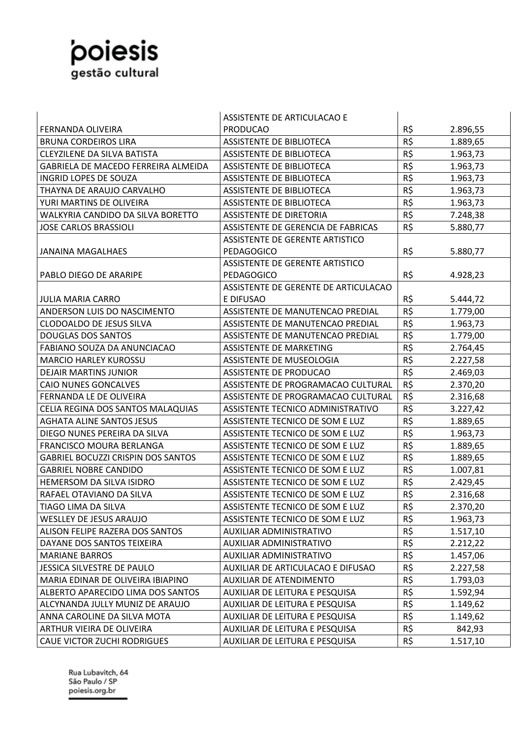

|                                            | ASSISTENTE DE ARTICULACAO E            |     |          |
|--------------------------------------------|----------------------------------------|-----|----------|
| <b>FERNANDA OLIVEIRA</b>                   | <b>PRODUCAO</b>                        | R\$ | 2.896,55 |
| <b>BRUNA CORDEIROS LIRA</b>                | <b>ASSISTENTE DE BIBLIOTECA</b>        | R\$ | 1.889,65 |
| <b>CLEYZILENE DA SILVA BATISTA</b>         | <b>ASSISTENTE DE BIBLIOTECA</b>        | R\$ | 1.963,73 |
| <b>GABRIELA DE MACEDO FERREIRA ALMEIDA</b> | <b>ASSISTENTE DE BIBLIOTECA</b>        | R\$ | 1.963,73 |
| INGRID LOPES DE SOUZA                      | <b>ASSISTENTE DE BIBLIOTECA</b>        | R\$ | 1.963,73 |
| THAYNA DE ARAUJO CARVALHO                  | <b>ASSISTENTE DE BIBLIOTECA</b>        | R\$ | 1.963,73 |
| YURI MARTINS DE OLIVEIRA                   | <b>ASSISTENTE DE BIBLIOTECA</b>        | R\$ | 1.963,73 |
| WALKYRIA CANDIDO DA SILVA BORETTO          | <b>ASSISTENTE DE DIRETORIA</b>         | R\$ | 7.248,38 |
| <b>JOSE CARLOS BRASSIOLI</b>               | ASSISTENTE DE GERENCIA DE FABRICAS     | R\$ | 5.880,77 |
|                                            | ASSISTENTE DE GERENTE ARTISTICO        |     |          |
| <b>JANAINA MAGALHAES</b>                   | <b>PEDAGOGICO</b>                      | R\$ | 5.880,77 |
|                                            | <b>ASSISTENTE DE GERENTE ARTISTICO</b> |     |          |
| PABLO DIEGO DE ARARIPE                     | PEDAGOGICO                             | R\$ | 4.928,23 |
|                                            | ASSISTENTE DE GERENTE DE ARTICULACAO   |     |          |
| <b>JULIA MARIA CARRO</b>                   | E DIFUSAO                              | R\$ | 5.444,72 |
| ANDERSON LUIS DO NASCIMENTO                | ASSISTENTE DE MANUTENCAO PREDIAL       | R\$ | 1.779,00 |
| <b>CLODOALDO DE JESUS SILVA</b>            | ASSISTENTE DE MANUTENCAO PREDIAL       | R\$ | 1.963,73 |
| <b>DOUGLAS DOS SANTOS</b>                  | ASSISTENTE DE MANUTENCAO PREDIAL       | R\$ | 1.779,00 |
| FABIANO SOUZA DA ANUNCIACAO                | ASSISTENTE DE MARKETING                | R\$ | 2.764,45 |
| <b>MARCIO HARLEY KUROSSU</b>               | <b>ASSISTENTE DE MUSEOLOGIA</b>        | R\$ | 2.227,58 |
| <b>DEJAIR MARTINS JUNIOR</b>               | <b>ASSISTENTE DE PRODUCAO</b>          | R\$ | 2.469,03 |
| <b>CAIO NUNES GONCALVES</b>                | ASSISTENTE DE PROGRAMACAO CULTURAL     | R\$ | 2.370,20 |
| FERNANDA LE DE OLIVEIRA                    | ASSISTENTE DE PROGRAMACAO CULTURAL     | R\$ | 2.316,68 |
| CELIA REGINA DOS SANTOS MALAQUIAS          | ASSISTENTE TECNICO ADMINISTRATIVO      | R\$ | 3.227,42 |
| <b>AGHATA ALINE SANTOS JESUS</b>           | ASSISTENTE TECNICO DE SOM E LUZ        | R\$ | 1.889,65 |
| DIEGO NUNES PEREIRA DA SILVA               | ASSISTENTE TECNICO DE SOM E LUZ        | R\$ | 1.963,73 |
| <b>FRANCISCO MOURA BERLANGA</b>            | ASSISTENTE TECNICO DE SOM E LUZ        | R\$ | 1.889,65 |
| <b>GABRIEL BOCUZZI CRISPIN DOS SANTOS</b>  | ASSISTENTE TECNICO DE SOM E LUZ        | R\$ | 1.889,65 |
| <b>GABRIEL NOBRE CANDIDO</b>               | ASSISTENTE TECNICO DE SOM E LUZ        | R\$ | 1.007,81 |
| <b>HEMERSOM DA SILVA ISIDRO</b>            | ASSISTENTE TECNICO DE SOM E LUZ        | R\$ | 2.429,45 |
| RAFAEL OTAVIANO DA SILVA                   | ASSISTENTE TECNICO DE SOM E LUZ        | R\$ | 2.316,68 |
| TIAGO LIMA DA SILVA                        | ASSISTENTE TECNICO DE SOM E LUZ        | R\$ | 2.370,20 |
| <b>WESLLEY DE JESUS ARAUJO</b>             | ASSISTENTE TECNICO DE SOM E LUZ        | R\$ | 1.963,73 |
| ALISON FELIPE RAZERA DOS SANTOS            | AUXILIAR ADMINISTRATIVO                | R\$ | 1.517,10 |
| DAYANE DOS SANTOS TEIXEIRA                 | <b>AUXILIAR ADMINISTRATIVO</b>         | R\$ | 2.212,22 |
| <b>MARIANE BARROS</b>                      | AUXILIAR ADMINISTRATIVO                | R\$ | 1.457,06 |
| JESSICA SILVESTRE DE PAULO                 | AUXILIAR DE ARTICULACAO E DIFUSAO      | R\$ | 2.227,58 |
| MARIA EDINAR DE OLIVEIRA IBIAPINO          | AUXILIAR DE ATENDIMENTO                | R\$ | 1.793,03 |
| ALBERTO APARECIDO LIMA DOS SANTOS          | AUXILIAR DE LEITURA E PESQUISA         | R\$ | 1.592,94 |
| ALCYNANDA JULLY MUNIZ DE ARAUJO            | AUXILIAR DE LEITURA E PESQUISA         | R\$ | 1.149,62 |
| ANNA CAROLINE DA SILVA MOTA                | AUXILIAR DE LEITURA E PESQUISA         | R\$ | 1.149,62 |
| ARTHUR VIEIRA DE OLIVEIRA                  | AUXILIAR DE LEITURA E PESQUISA         | R\$ | 842,93   |
| <b>CAUE VICTOR ZUCHI RODRIGUES</b>         | AUXILIAR DE LEITURA E PESQUISA         | R\$ | 1.517,10 |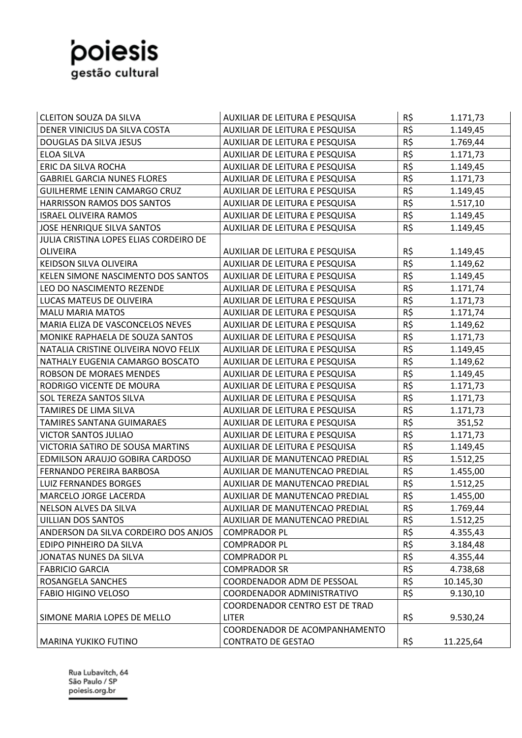

| <b>CLEITON SOUZA DA SILVA</b>          | AUXILIAR DE LEITURA E PESQUISA | R\$      | 1.171,73  |
|----------------------------------------|--------------------------------|----------|-----------|
| DENER VINICIUS DA SILVA COSTA          | AUXILIAR DE LEITURA E PESQUISA | R\$      | 1.149,45  |
| DOUGLAS DA SILVA JESUS                 | AUXILIAR DE LEITURA E PESQUISA | R\$      | 1.769,44  |
| <b>ELOA SILVA</b>                      | AUXILIAR DE LEITURA E PESQUISA | R\$      | 1.171,73  |
| <b>ERIC DA SILVA ROCHA</b>             | AUXILIAR DE LEITURA E PESQUISA | R\$      | 1.149,45  |
| <b>GABRIEL GARCIA NUNES FLORES</b>     | AUXILIAR DE LEITURA E PESQUISA | R\$      | 1.171,73  |
| GUILHERME LENIN CAMARGO CRUZ           | AUXILIAR DE LEITURA E PESQUISA | R\$      | 1.149,45  |
| <b>HARRISSON RAMOS DOS SANTOS</b>      | AUXILIAR DE LEITURA E PESQUISA | R\$      | 1.517,10  |
| <b>ISRAEL OLIVEIRA RAMOS</b>           | AUXILIAR DE LEITURA E PESQUISA | R\$      | 1.149,45  |
| <b>JOSE HENRIQUE SILVA SANTOS</b>      | AUXILIAR DE LEITURA E PESQUISA | R\$      | 1.149,45  |
| JULIA CRISTINA LOPES ELIAS CORDEIRO DE |                                |          |           |
| <b>OLIVEIRA</b>                        | AUXILIAR DE LEITURA E PESQUISA | R\$      | 1.149,45  |
| KEIDSON SILVA OLIVEIRA                 | AUXILIAR DE LEITURA E PESQUISA | R\$      | 1.149,62  |
| KELEN SIMONE NASCIMENTO DOS SANTOS     | AUXILIAR DE LEITURA E PESQUISA | R\$      | 1.149,45  |
| LEO DO NASCIMENTO REZENDE              | AUXILIAR DE LEITURA E PESQUISA | R\$      | 1.171,74  |
| LUCAS MATEUS DE OLIVEIRA               | AUXILIAR DE LEITURA E PESQUISA | R\$      | 1.171,73  |
| <b>MALU MARIA MATOS</b>                | AUXILIAR DE LEITURA E PESQUISA | $R\zeta$ | 1.171,74  |
| MARIA ELIZA DE VASCONCELOS NEVES       | AUXILIAR DE LEITURA E PESQUISA | R\$      | 1.149,62  |
| MONIKE RAPHAELA DE SOUZA SANTOS        | AUXILIAR DE LEITURA E PESQUISA | R\$      | 1.171,73  |
| NATALIA CRISTINE OLIVEIRA NOVO FELIX   | AUXILIAR DE LEITURA E PESQUISA | R\$      | 1.149,45  |
| NATHALY EUGENIA CAMARGO BOSCATO        | AUXILIAR DE LEITURA E PESQUISA | R\$      | 1.149,62  |
| ROBSON DE MORAES MENDES                | AUXILIAR DE LEITURA E PESQUISA | R\$      | 1.149,45  |
| RODRIGO VICENTE DE MOURA               | AUXILIAR DE LEITURA E PESQUISA | R\$      | 1.171,73  |
| <b>SOL TEREZA SANTOS SILVA</b>         | AUXILIAR DE LEITURA E PESQUISA | R\$      | 1.171,73  |
| TAMIRES DE LIMA SILVA                  | AUXILIAR DE LEITURA E PESQUISA | R\$      | 1.171,73  |
| TAMIRES SANTANA GUIMARAES              | AUXILIAR DE LEITURA E PESQUISA | R\$      | 351,52    |
| <b>VICTOR SANTOS JULIAO</b>            | AUXILIAR DE LEITURA E PESQUISA | R\$      | 1.171,73  |
| VICTORIA SATIRO DE SOUSA MARTINS       | AUXILIAR DE LEITURA E PESQUISA | R\$      | 1.149,45  |
| EDMILSON ARAUJO GOBIRA CARDOSO         | AUXILIAR DE MANUTENCAO PREDIAL | R\$      | 1.512,25  |
| FERNANDO PEREIRA BARBOSA               | AUXILIAR DE MANUTENCAO PREDIAL | R\$      | 1.455,00  |
| <b>LUIZ FERNANDES BORGES</b>           | AUXILIAR DE MANUTENCAO PREDIAL | R\$      | 1.512,25  |
| <b>MARCELO JORGE LACERDA</b>           | AUXILIAR DE MANUTENCAO PREDIAL | R\$      | 1.455,00  |
| NELSON ALVES DA SILVA                  | AUXILIAR DE MANUTENCAO PREDIAL | R\$      | 1.769,44  |
| <b>UILLIAN DOS SANTOS</b>              | AUXILIAR DE MANUTENCAO PREDIAL | R\$      | 1.512,25  |
| ANDERSON DA SILVA CORDEIRO DOS ANJOS   | <b>COMPRADOR PL</b>            | R\$      | 4.355,43  |
| EDIPO PINHEIRO DA SILVA                | <b>COMPRADOR PL</b>            | R\$      | 3.184,48  |
| JONATAS NUNES DA SILVA                 | <b>COMPRADOR PL</b>            | R\$      | 4.355,44  |
| <b>FABRICIO GARCIA</b>                 | <b>COMPRADOR SR</b>            | R\$      | 4.738,68  |
| ROSANGELA SANCHES                      | COORDENADOR ADM DE PESSOAL     | R\$      | 10.145,30 |
| <b>FABIO HIGINO VELOSO</b>             | COORDENADOR ADMINISTRATIVO     | R\$      | 9.130,10  |
|                                        | COORDENADOR CENTRO EST DE TRAD |          |           |
| SIMONE MARIA LOPES DE MELLO            | <b>LITER</b>                   | R\$      | 9.530,24  |
|                                        | COORDENADOR DE ACOMPANHAMENTO  |          |           |
| <b>MARINA YUKIKO FUTINO</b>            | <b>CONTRATO DE GESTAO</b>      | R\$      | 11.225,64 |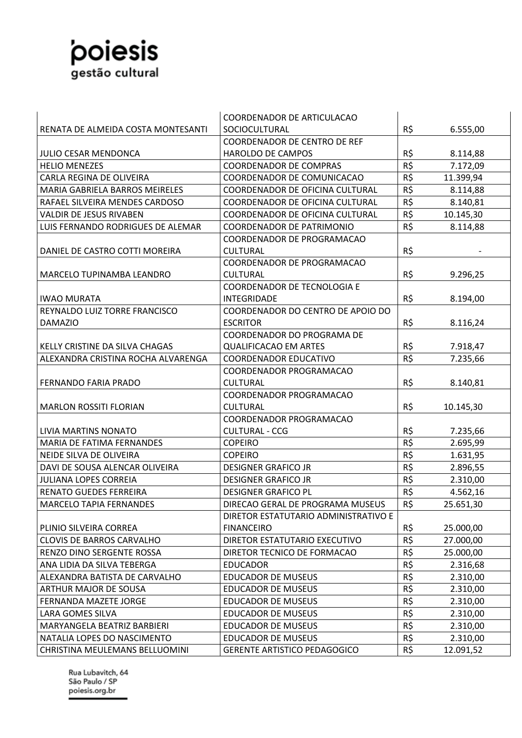## poiesis

|                                       | COORDENADOR DE ARTICULACAO             |          |           |
|---------------------------------------|----------------------------------------|----------|-----------|
| RENATA DE ALMEIDA COSTA MONTESANTI    | SOCIOCULTURAL                          | R\$      | 6.555,00  |
|                                       | <b>COORDENADOR DE CENTRO DE REF</b>    |          |           |
| <b>JULIO CESAR MENDONCA</b>           | HAROLDO DE CAMPOS                      | R\$      | 8.114,88  |
| <b>HELIO MENEZES</b>                  | <b>COORDENADOR DE COMPRAS</b>          | R\$      | 7.172,09  |
| CARLA REGINA DE OLIVEIRA              | COORDENADOR DE COMUNICACAO             | R\$      | 11.399,94 |
| <b>MARIA GABRIELA BARROS MEIRELES</b> | <b>COORDENADOR DE OFICINA CULTURAL</b> | R\$      | 8.114,88  |
| RAFAEL SILVEIRA MENDES CARDOSO        | COORDENADOR DE OFICINA CULTURAL        | R\$      | 8.140,81  |
| VALDIR DE JESUS RIVABEN               | COORDENADOR DE OFICINA CULTURAL        | R\$      | 10.145,30 |
| LUIS FERNANDO RODRIGUES DE ALEMAR     | <b>COORDENADOR DE PATRIMONIO</b>       | R\$      | 8.114,88  |
|                                       | COORDENADOR DE PROGRAMACAO             |          |           |
| DANIEL DE CASTRO COTTI MOREIRA        | <b>CULTURAL</b>                        | R\$      |           |
|                                       | COORDENADOR DE PROGRAMACAO             |          |           |
| MARCELO TUPINAMBA LEANDRO             | <b>CULTURAL</b>                        | R\$      | 9.296,25  |
|                                       | <b>COORDENADOR DE TECNOLOGIA E</b>     |          |           |
| <b>IWAO MURATA</b>                    | <b>INTEGRIDADE</b>                     | R\$      | 8.194,00  |
| REYNALDO LUIZ TORRE FRANCISCO         | COORDENADOR DO CENTRO DE APOIO DO      |          |           |
| <b>DAMAZIO</b>                        | <b>ESCRITOR</b>                        | R\$      | 8.116,24  |
|                                       | COORDENADOR DO PROGRAMA DE             |          |           |
| KELLY CRISTINE DA SILVA CHAGAS        | <b>QUALIFICACAO EM ARTES</b>           | R\$      | 7.918,47  |
| ALEXANDRA CRISTINA ROCHA ALVARENGA    | <b>COORDENADOR EDUCATIVO</b>           | R\$      | 7.235,66  |
|                                       | COORDENADOR PROGRAMACAO                |          |           |
| FERNANDO FARIA PRADO                  | <b>CULTURAL</b>                        | R\$      | 8.140,81  |
|                                       | COORDENADOR PROGRAMACAO                |          |           |
| <b>MARLON ROSSITI FLORIAN</b>         | <b>CULTURAL</b>                        | R\$      | 10.145,30 |
|                                       | COORDENADOR PROGRAMACAO                |          |           |
| LIVIA MARTINS NONATO                  | <b>CULTURAL - CCG</b>                  | R\$      | 7.235,66  |
| MARIA DE FATIMA FERNANDES             | <b>COPEIRO</b>                         | R\$      | 2.695,99  |
| NEIDE SILVA DE OLIVEIRA               | <b>COPEIRO</b>                         | R\$      | 1.631,95  |
| DAVI DE SOUSA ALENCAR OLIVEIRA        | <b>DESIGNER GRAFICO JR</b>             | R\$      | 2.896,55  |
| <b>JULIANA LOPES CORREIA</b>          | <b>DESIGNER GRAFICO JR</b>             | R\$      | 2.310,00  |
| RENATO GUEDES FERREIRA                | <b>DESIGNER GRAFICO PL</b>             | R\$      | 4.562,16  |
| <b>MARCELO TAPIA FERNANDES</b>        | DIRECAO GERAL DE PROGRAMA MUSEUS       | $R\zeta$ | 25.651,30 |
|                                       | DIRETOR ESTATUTARIO ADMINISTRATIVO E   |          |           |
| PLINIO SILVEIRA CORREA                | <b>FINANCEIRO</b>                      | R\$      | 25.000,00 |
| <b>CLOVIS DE BARROS CARVALHO</b>      | DIRETOR ESTATUTARIO EXECUTIVO          | R\$      | 27.000,00 |
| RENZO DINO SERGENTE ROSSA             | DIRETOR TECNICO DE FORMACAO            | R\$      | 25.000,00 |
| ANA LIDIA DA SILVA TEBERGA            | <b>EDUCADOR</b>                        | R\$      | 2.316,68  |
| ALEXANDRA BATISTA DE CARVALHO         | <b>EDUCADOR DE MUSEUS</b>              | R\$      | 2.310,00  |
| ARTHUR MAJOR DE SOUSA                 | <b>EDUCADOR DE MUSEUS</b>              | R\$      | 2.310,00  |
| FERNANDA MAZETE JORGE                 | <b>EDUCADOR DE MUSEUS</b>              | R\$      | 2.310,00  |
| LARA GOMES SILVA                      | <b>EDUCADOR DE MUSEUS</b>              | R\$      | 2.310,00  |
| MARYANGELA BEATRIZ BARBIERI           | <b>EDUCADOR DE MUSEUS</b>              | R\$      | 2.310,00  |
| NATALIA LOPES DO NASCIMENTO           | <b>EDUCADOR DE MUSEUS</b>              | R\$      | 2.310,00  |
| CHRISTINA MEULEMANS BELLUOMINI        | <b>GERENTE ARTISTICO PEDAGOGICO</b>    | R\$      | 12.091,52 |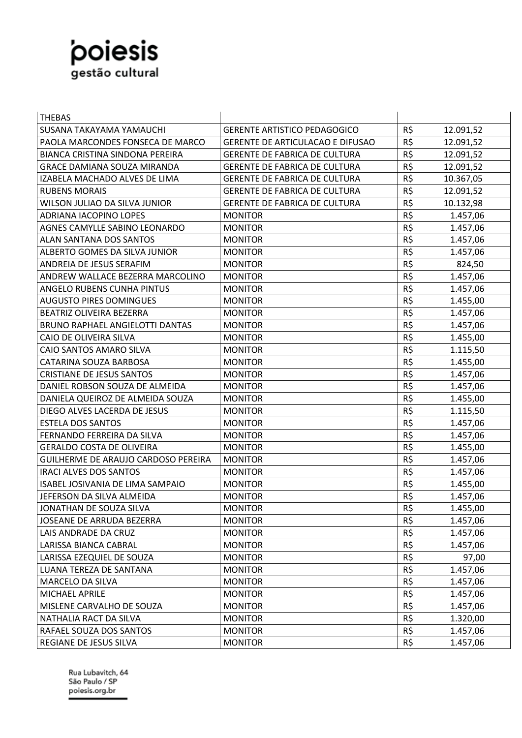

| <b>THEBAS</b>                          |                                         |     |           |
|----------------------------------------|-----------------------------------------|-----|-----------|
| SUSANA TAKAYAMA YAMAUCHI               | <b>GERENTE ARTISTICO PEDAGOGICO</b>     | R\$ | 12.091,52 |
| PAOLA MARCONDES FONSECA DE MARCO       | <b>GERENTE DE ARTICULACAO E DIFUSAO</b> | R\$ | 12.091,52 |
| <b>BIANCA CRISTINA SINDONA PEREIRA</b> | <b>GERENTE DE FABRICA DE CULTURA</b>    | R\$ | 12.091,52 |
| <b>GRACE DAMIANA SOUZA MIRANDA</b>     | <b>GERENTE DE FABRICA DE CULTURA</b>    | R\$ | 12.091,52 |
| IZABELA MACHADO ALVES DE LIMA          | <b>GERENTE DE FABRICA DE CULTURA</b>    | R\$ | 10.367,05 |
| <b>RUBENS MORAIS</b>                   | <b>GERENTE DE FABRICA DE CULTURA</b>    | R\$ | 12.091,52 |
| WILSON JULIAO DA SILVA JUNIOR          | <b>GERENTE DE FABRICA DE CULTURA</b>    | R\$ | 10.132,98 |
| ADRIANA IACOPINO LOPES                 | <b>MONITOR</b>                          | R\$ | 1.457,06  |
| AGNES CAMYLLE SABINO LEONARDO          | <b>MONITOR</b>                          | R\$ | 1.457,06  |
| <b>ALAN SANTANA DOS SANTOS</b>         | <b>MONITOR</b>                          | R\$ | 1.457,06  |
| ALBERTO GOMES DA SILVA JUNIOR          | <b>MONITOR</b>                          | R\$ | 1.457,06  |
| ANDREIA DE JESUS SERAFIM               | <b>MONITOR</b>                          | R\$ | 824,50    |
| ANDREW WALLACE BEZERRA MARCOLINO       | <b>MONITOR</b>                          | R\$ | 1.457,06  |
| ANGELO RUBENS CUNHA PINTUS             | <b>MONITOR</b>                          | R\$ | 1.457,06  |
| <b>AUGUSTO PIRES DOMINGUES</b>         | <b>MONITOR</b>                          | R\$ | 1.455,00  |
| BEATRIZ OLIVEIRA BEZERRA               | <b>MONITOR</b>                          | R\$ | 1.457,06  |
| <b>BRUNO RAPHAEL ANGIELOTTI DANTAS</b> | <b>MONITOR</b>                          | R\$ | 1.457,06  |
| CAIO DE OLIVEIRA SILVA                 | <b>MONITOR</b>                          | R\$ | 1.455,00  |
| CAIO SANTOS AMARO SILVA                | <b>MONITOR</b>                          | R\$ | 1.115,50  |
| CATARINA SOUZA BARBOSA                 | <b>MONITOR</b>                          | R\$ | 1.455,00  |
| <b>CRISTIANE DE JESUS SANTOS</b>       | <b>MONITOR</b>                          | R\$ | 1.457,06  |
| DANIEL ROBSON SOUZA DE ALMEIDA         | <b>MONITOR</b>                          | R\$ | 1.457,06  |
| DANIELA QUEIROZ DE ALMEIDA SOUZA       | <b>MONITOR</b>                          | R\$ | 1.455,00  |
| DIEGO ALVES LACERDA DE JESUS           | <b>MONITOR</b>                          | R\$ | 1.115,50  |
| <b>ESTELA DOS SANTOS</b>               | <b>MONITOR</b>                          | R\$ | 1.457,06  |
| FERNANDO FERREIRA DA SILVA             | <b>MONITOR</b>                          | R\$ | 1.457,06  |
| <b>GERALDO COSTA DE OLIVEIRA</b>       | <b>MONITOR</b>                          | R\$ | 1.455,00  |
| GUILHERME DE ARAUJO CARDOSO PEREIRA    | <b>MONITOR</b>                          | R\$ | 1.457,06  |
| <b>IRACI ALVES DOS SANTOS</b>          | <b>MONITOR</b>                          | R\$ | 1.457,06  |
| ISABEL JOSIVANIA DE LIMA SAMPAIO       | <b>MONITOR</b>                          | R\$ | 1.455,00  |
| JEFERSON DA SILVA ALMEIDA              | <b>MONITOR</b>                          | R\$ | 1.457,06  |
| JONATHAN DE SOUZA SILVA                | <b>MONITOR</b>                          | R\$ | 1.455,00  |
| JOSEANE DE ARRUDA BEZERRA              | <b>MONITOR</b>                          | R\$ | 1.457,06  |
| LAIS ANDRADE DA CRUZ                   | <b>MONITOR</b>                          | R\$ | 1.457,06  |
| LARISSA BIANCA CABRAL                  | <b>MONITOR</b>                          | R\$ | 1.457,06  |
| LARISSA EZEQUIEL DE SOUZA              | <b>MONITOR</b>                          | R\$ | 97,00     |
| LUANA TEREZA DE SANTANA                | <b>MONITOR</b>                          | R\$ | 1.457,06  |
| MARCELO DA SILVA                       | <b>MONITOR</b>                          | R\$ | 1.457,06  |
| MICHAEL APRILE                         | <b>MONITOR</b>                          | R\$ | 1.457,06  |
| MISLENE CARVALHO DE SOUZA              | <b>MONITOR</b>                          | R\$ | 1.457,06  |
| NATHALIA RACT DA SILVA                 | <b>MONITOR</b>                          | R\$ | 1.320,00  |
| RAFAEL SOUZA DOS SANTOS                | <b>MONITOR</b>                          | R\$ | 1.457,06  |
| REGIANE DE JESUS SILVA                 | <b>MONITOR</b>                          | R\$ | 1.457,06  |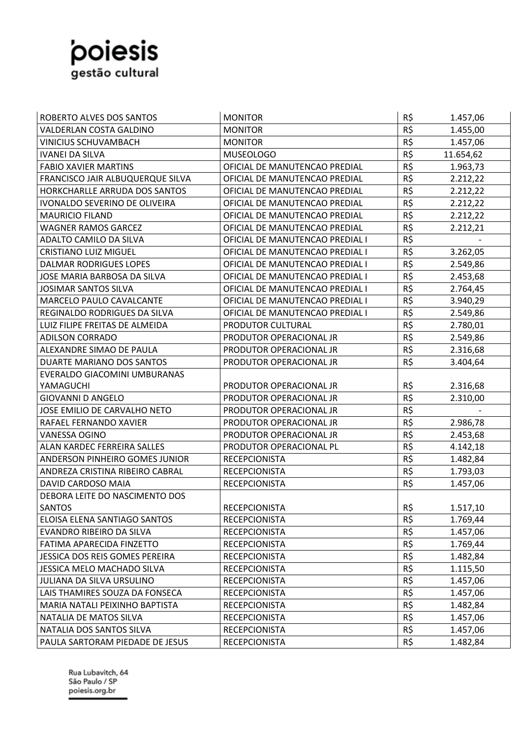

| ROBERTO ALVES DOS SANTOS         | <b>MONITOR</b>                  | R\$ | 1.457,06  |
|----------------------------------|---------------------------------|-----|-----------|
| VALDERLAN COSTA GALDINO          | <b>MONITOR</b>                  | R\$ | 1.455,00  |
| <b>VINICIUS SCHUVAMBACH</b>      | <b>MONITOR</b>                  | R\$ | 1.457,06  |
| <b>IVANEI DA SILVA</b>           | <b>MUSEOLOGO</b>                | R\$ | 11.654,62 |
| <b>FABIO XAVIER MARTINS</b>      | OFICIAL DE MANUTENCAO PREDIAL   | R\$ | 1.963,73  |
| FRANCISCO JAIR ALBUQUERQUE SILVA | OFICIAL DE MANUTENCAO PREDIAL   | R\$ | 2.212,22  |
| HORKCHARLLE ARRUDA DOS SANTOS    | OFICIAL DE MANUTENCAO PREDIAL   | R\$ | 2.212,22  |
| IVONALDO SEVERINO DE OLIVEIRA    | OFICIAL DE MANUTENCAO PREDIAL   | R\$ | 2.212,22  |
| <b>MAURICIO FILAND</b>           | OFICIAL DE MANUTENCAO PREDIAL   | R\$ | 2.212,22  |
| <b>WAGNER RAMOS GARCEZ</b>       | OFICIAL DE MANUTENCAO PREDIAL   | R\$ | 2.212,21  |
| ADALTO CAMILO DA SILVA           | OFICIAL DE MANUTENCAO PREDIAL I | R\$ |           |
| <b>CRISTIANO LUIZ MIGUEL</b>     | OFICIAL DE MANUTENCAO PREDIAL I | R\$ | 3.262,05  |
| <b>DALMAR RODRIGUES LOPES</b>    | OFICIAL DE MANUTENCAO PREDIAL I | R\$ | 2.549,86  |
| JOSE MARIA BARBOSA DA SILVA      | OFICIAL DE MANUTENCAO PREDIAL I | R\$ | 2.453,68  |
| <b>JOSIMAR SANTOS SILVA</b>      | OFICIAL DE MANUTENCAO PREDIAL I | R\$ | 2.764,45  |
| MARCELO PAULO CAVALCANTE         | OFICIAL DE MANUTENCAO PREDIAL I | R\$ | 3.940,29  |
| REGINALDO RODRIGUES DA SILVA     | OFICIAL DE MANUTENCAO PREDIAL I | R\$ | 2.549,86  |
| LUIZ FILIPE FREITAS DE ALMEIDA   | PRODUTOR CULTURAL               | R\$ | 2.780,01  |
| <b>ADILSON CORRADO</b>           | PRODUTOR OPERACIONAL JR         | R\$ | 2.549,86  |
| ALEXANDRE SIMAO DE PAULA         | PRODUTOR OPERACIONAL JR         | R\$ | 2.316,68  |
| DUARTE MARIANO DOS SANTOS        | PRODUTOR OPERACIONAL JR         | R\$ | 3.404,64  |
| EVERALDO GIACOMINI UMBURANAS     |                                 |     |           |
| YAMAGUCHI                        | PRODUTOR OPERACIONAL JR         | R\$ | 2.316,68  |
| <b>GIOVANNI D ANGELO</b>         | PRODUTOR OPERACIONAL JR         | R\$ | 2.310,00  |
| JOSE EMILIO DE CARVALHO NETO     | PRODUTOR OPERACIONAL JR         | R\$ |           |
| RAFAEL FERNANDO XAVIER           | PRODUTOR OPERACIONAL JR         | R\$ | 2.986,78  |
| VANESSA OGINO                    | PRODUTOR OPERACIONAL JR         | R\$ | 2.453,68  |
| ALAN KARDEC FERREIRA SALLES      | PRODUTOR OPERACIONAL PL         | R\$ | 4.142,18  |
| ANDERSON PINHEIRO GOMES JUNIOR   | <b>RECEPCIONISTA</b>            | R\$ | 1.482,84  |
| ANDREZA CRISTINA RIBEIRO CABRAL  | <b>RECEPCIONISTA</b>            | R\$ | 1.793,03  |
| DAVID CARDOSO MAIA               | <b>RECEPCIONISTA</b>            | R\$ | 1.457,06  |
| DEBORA LEITE DO NASCIMENTO DOS   |                                 |     |           |
| <b>SANTOS</b>                    | <b>RECEPCIONISTA</b>            | R\$ | 1.517,10  |
| ELOISA ELENA SANTIAGO SANTOS     | <b>RECEPCIONISTA</b>            | R\$ | 1.769,44  |
| EVANDRO RIBEIRO DA SILVA         | <b>RECEPCIONISTA</b>            | R\$ | 1.457,06  |
| FATIMA APARECIDA FINZETTO        | <b>RECEPCIONISTA</b>            | R\$ | 1.769,44  |
| JESSICA DOS REIS GOMES PEREIRA   | <b>RECEPCIONISTA</b>            | R\$ | 1.482,84  |
| JESSICA MELO MACHADO SILVA       | <b>RECEPCIONISTA</b>            | R\$ | 1.115,50  |
| JULIANA DA SILVA URSULINO        | <b>RECEPCIONISTA</b>            | R\$ | 1.457,06  |
| LAIS THAMIRES SOUZA DA FONSECA   | <b>RECEPCIONISTA</b>            | R\$ | 1.457,06  |
| MARIA NATALI PEIXINHO BAPTISTA   | <b>RECEPCIONISTA</b>            | R\$ | 1.482,84  |
| NATALIA DE MATOS SILVA           | <b>RECEPCIONISTA</b>            | R\$ | 1.457,06  |
| NATALIA DOS SANTOS SILVA         | <b>RECEPCIONISTA</b>            | R\$ | 1.457,06  |
| PAULA SARTORAM PIEDADE DE JESUS  | <b>RECEPCIONISTA</b>            | R\$ | 1.482,84  |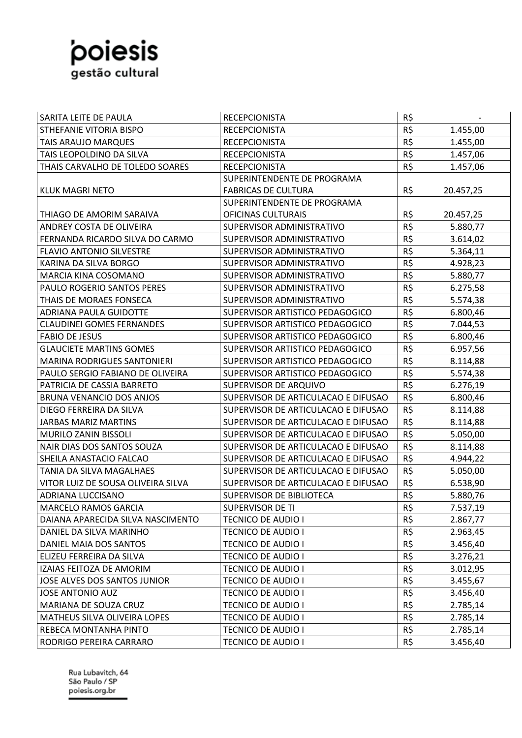## poiesis

| SARITA LEITE DE PAULA              | <b>RECEPCIONISTA</b>                | R\$ |           |
|------------------------------------|-------------------------------------|-----|-----------|
| STHEFANIE VITORIA BISPO            | <b>RECEPCIONISTA</b>                | R\$ | 1.455,00  |
| TAIS ARAUJO MARQUES                | <b>RECEPCIONISTA</b>                | R\$ | 1.455,00  |
| TAIS LEOPOLDINO DA SILVA           | <b>RECEPCIONISTA</b>                | R\$ | 1.457,06  |
| THAIS CARVALHO DE TOLEDO SOARES    | <b>RECEPCIONISTA</b>                | R\$ | 1.457,06  |
|                                    | SUPERINTENDENTE DE PROGRAMA         |     |           |
| <b>KLUK MAGRI NETO</b>             | <b>FABRICAS DE CULTURA</b>          | R\$ | 20.457,25 |
|                                    | SUPERINTENDENTE DE PROGRAMA         |     |           |
| THIAGO DE AMORIM SARAIVA           | <b>OFICINAS CULTURAIS</b>           | R\$ | 20.457,25 |
| ANDREY COSTA DE OLIVEIRA           | SUPERVISOR ADMINISTRATIVO           | R\$ | 5.880,77  |
| FERNANDA RICARDO SILVA DO CARMO    | SUPERVISOR ADMINISTRATIVO           | R\$ | 3.614,02  |
| <b>FLAVIO ANTONIO SILVESTRE</b>    | SUPERVISOR ADMINISTRATIVO           | R\$ | 5.364,11  |
| KARINA DA SILVA BORGO              | SUPERVISOR ADMINISTRATIVO           | R\$ | 4.928,23  |
| <b>MARCIA KINA COSOMANO</b>        | SUPERVISOR ADMINISTRATIVO           | R\$ | 5.880,77  |
| <b>PAULO ROGERIO SANTOS PERES</b>  | SUPERVISOR ADMINISTRATIVO           | R\$ | 6.275,58  |
| THAIS DE MORAES FONSECA            | SUPERVISOR ADMINISTRATIVO           | R\$ | 5.574,38  |
| <b>ADRIANA PAULA GUIDOTTE</b>      | SUPERVISOR ARTISTICO PEDAGOGICO     | R\$ | 6.800,46  |
| <b>CLAUDINEI GOMES FERNANDES</b>   | SUPERVISOR ARTISTICO PEDAGOGICO     | R\$ | 7.044,53  |
| <b>FABIO DE JESUS</b>              | SUPERVISOR ARTISTICO PEDAGOGICO     | R\$ | 6.800,46  |
| <b>GLAUCIETE MARTINS GOMES</b>     | SUPERVISOR ARTISTICO PEDAGOGICO     | R\$ | 6.957,56  |
| <b>MARINA RODRIGUES SANTONIERI</b> | SUPERVISOR ARTISTICO PEDAGOGICO     | R\$ | 8.114,88  |
| PAULO SERGIO FABIANO DE OLIVEIRA   | SUPERVISOR ARTISTICO PEDAGOGICO     | R\$ | 5.574,38  |
| PATRICIA DE CASSIA BARRETO         | SUPERVISOR DE ARQUIVO               | R\$ | 6.276,19  |
| BRUNA VENANCIO DOS ANJOS           | SUPERVISOR DE ARTICULACAO E DIFUSAO | R\$ | 6.800,46  |
| DIEGO FERREIRA DA SILVA            | SUPERVISOR DE ARTICULACAO E DIFUSAO | R\$ | 8.114,88  |
| <b>JARBAS MARIZ MARTINS</b>        | SUPERVISOR DE ARTICULACAO E DIFUSAO | R\$ | 8.114,88  |
| MURILO ZANIN BISSOLI               | SUPERVISOR DE ARTICULACAO E DIFUSAO | R\$ | 5.050,00  |
| NAIR DIAS DOS SANTOS SOUZA         | SUPERVISOR DE ARTICULACAO E DIFUSAO | R\$ | 8.114,88  |
| SHEILA ANASTACIO FALCAO            | SUPERVISOR DE ARTICULACAO E DIFUSAO | R\$ | 4.944,22  |
| TANIA DA SILVA MAGALHAES           | SUPERVISOR DE ARTICULACAO E DIFUSAO | R\$ | 5.050,00  |
| VITOR LUIZ DE SOUSA OLIVEIRA SILVA | SUPERVISOR DE ARTICULACAO E DIFUSAO | R\$ | 6.538,90  |
| ADRIANA LUCCISANO                  | SUPERVISOR DE BIBLIOTECA            | R\$ | 5.880,76  |
| MARCELO RAMOS GARCIA               | SUPERVISOR DE TI                    | R\$ | 7.537,19  |
| DAIANA APARECIDA SILVA NASCIMENTO  | <b>TECNICO DE AUDIO I</b>           | R\$ | 2.867,77  |
| DANIEL DA SILVA MARINHO            | <b>TECNICO DE AUDIO I</b>           | R\$ | 2.963,45  |
| DANIEL MAIA DOS SANTOS             | <b>TECNICO DE AUDIO I</b>           | R\$ | 3.456,40  |
| ELIZEU FERREIRA DA SILVA           | <b>TECNICO DE AUDIO I</b>           | R\$ | 3.276,21  |
| IZAIAS FEITOZA DE AMORIM           | <b>TECNICO DE AUDIO I</b>           | R\$ | 3.012,95  |
| JOSE ALVES DOS SANTOS JUNIOR       | <b>TECNICO DE AUDIO I</b>           | R\$ | 3.455,67  |
| <b>JOSE ANTONIO AUZ</b>            | <b>TECNICO DE AUDIO I</b>           | R\$ | 3.456,40  |
| MARIANA DE SOUZA CRUZ              | <b>TECNICO DE AUDIO I</b>           | R\$ | 2.785,14  |
| MATHEUS SILVA OLIVEIRA LOPES       | <b>TECNICO DE AUDIO I</b>           | R\$ | 2.785,14  |
| REBECA MONTANHA PINTO              | <b>TECNICO DE AUDIO I</b>           | R\$ | 2.785,14  |
| RODRIGO PEREIRA CARRARO            | <b>TECNICO DE AUDIO I</b>           | R\$ | 3.456,40  |